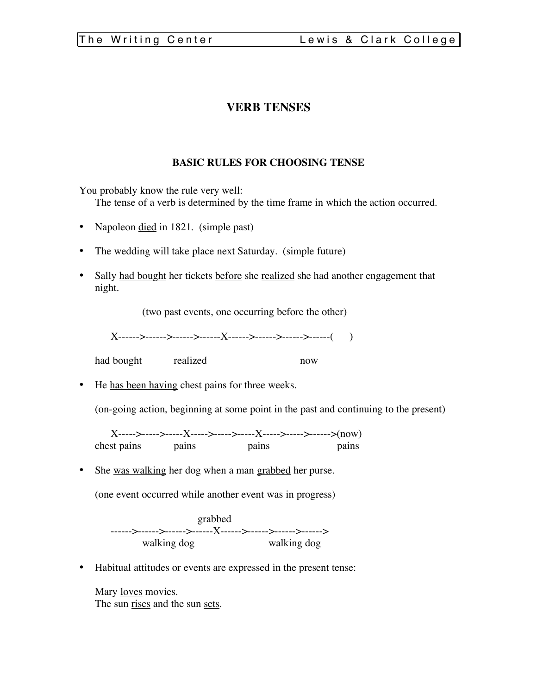# **VERB TENSES**

# **BASIC RULES FOR CHOOSING TENSE**

You probably know the rule very well:

The tense of a verb is determined by the time frame in which the action occurred.

- Napoleon <u>died</u> in 1821. (simple past)
- The wedding will take place next Saturday. (simple future)
- Sally had bought her tickets before she realized she had another engagement that night.

(two past events, one occurring before the other)

X------>------>------>------X------>------>------>------( )

had bought realized now

• He has been having chest pains for three weeks.

(on-going action, beginning at some point in the past and continuing to the present)

X----->----->-----X----->----->-----X----->----->------>(now) chest pains pains pains pains pains

• She was walking her dog when a man grabbed her purse.

(one event occurred while another event was in progress)

grabbed ------>------>------>------X------>------>------>------> walking dog

• Habitual attitudes or events are expressed in the present tense:

Mary <u>loves</u> movies. The sun rises and the sun sets.